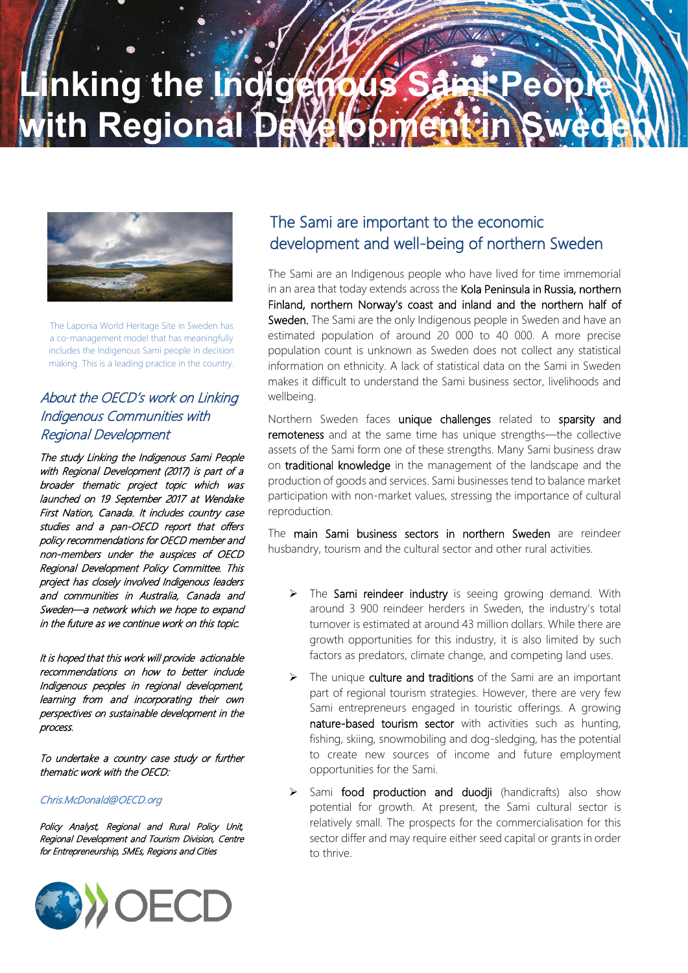## **Ling the Indigenous** *i***th Regional**



The Laponia World Heritage Site in Sweden has a co-management model that has meaningfully includes the Indigenous Sami people in decision making. This is a leading practice in the country.

### About the OECD's work on Linking Indigenous Communities with Regional Development

The study Linking the Indigenous Sami People with Regional Development (2017) is part of a broader thematic project topic which was launched on 19 September 2017 at Wendake First Nation, Canada. It includes country case studies and a pan-OECD report that offers policy recommendations for OECD member and non-members under the auspices of OECD Regional Development Policy Committee. This project has closely involved Indigenous leaders and communities in Australia, Canada and Sweden—a network which we hope to expand in the future as we continue work on this topic.

It is hoped that this work will provide actionable recommendations on how to better include Indigenous peoples in regional development, learning from and incorporating their own perspectives on sustainable development in the process.

To undertake a country case study or further thematic work with the OECD:

#### Chris.McDonald@OECD.org

Policy Analyst, Regional and Rural Policy Unit, Regional Development and Tourism Division, Centre for Entrepreneurship, SMEs, Regions and Cities



### The Sami are important to the economic development and well-being of northern Sweden

The Sami are an Indigenous people who have lived for time immemorial in an area that today extends across the Kola Peninsula in Russia, northern Finland, northern Norway's coast and inland and the northern half of Sweden. The Sami are the only Indigenous people in Sweden and have an estimated population of around 20 000 to 40 000. A more precise population count is unknown as Sweden does not collect any statistical information on ethnicity. A lack of statistical data on the Sami in Sweden makes it difficult to understand the Sami business sector, livelihoods and wellbeing.

Northern Sweden faces unique challenges related to sparsity and remoteness and at the same time has unique strengths—the collective assets of the Sami form one of these strengths. Many Sami business draw on traditional knowledge in the management of the landscape and the production of goods and services. Sami businesses tend to balance market participation with non-market values, stressing the importance of cultural reproduction.

The main Sami business sectors in northern Sweden are reindeer husbandry, tourism and the cultural sector and other rural activities.

- > The Sami reindeer industry is seeing growing demand. With around 3 900 reindeer herders in Sweden, the industry's total turnover is estimated at around 43 million dollars. While there are growth opportunities for this industry, it is also limited by such factors as predators, climate change, and competing land uses.
- The unique culture and traditions of the Sami are an important part of regional tourism strategies. However, there are very few Sami entrepreneurs engaged in touristic offerings. A growing nature-based tourism sector with activities such as hunting, fishing, skiing, snowmobiling and dog-sledging, has the potential to create new sources of income and future employment opportunities for the Sami.
- $\triangleright$  Sami food production and duodji (handicrafts) also show potential for growth. At present, the Sami cultural sector is relatively small. The prospects for the commercialisation for this sector differ and may require either seed capital or grants in order to thrive.